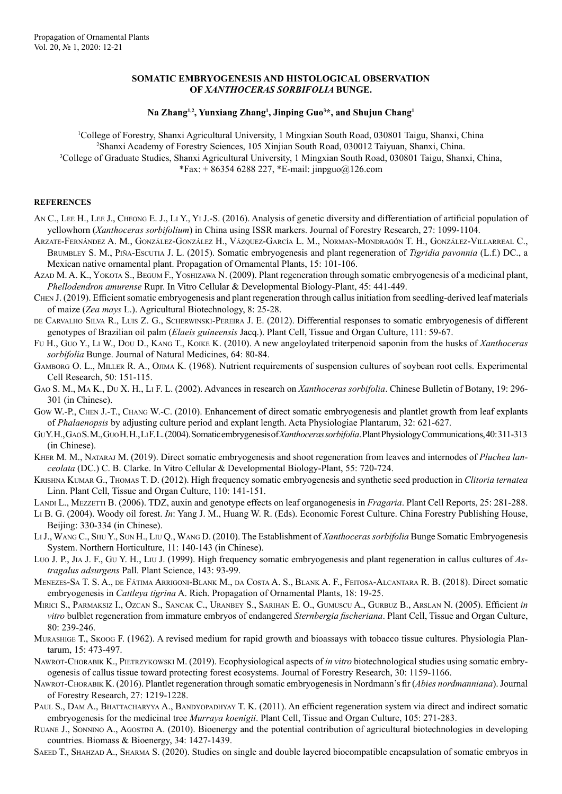## **SOMATIC EMBRYOGENESIS AND HISTOLOGICAL OBSERVATION OF** *XANTHOCERAS SORBIFOLIA* **BUNGE.**

## **Na Zhang1,2, Yunxiang Zhang1 , Jinping Guo3 \*, and Shujun Chang1**

 College of Forestry, Shanxi Agricultural University, 1 Mingxian South Road, 030801 Taigu, Shanxi, China Shanxi Academy of Forestry Sciences, 105 Xinjian South Road, 030012 Taiyuan, Shanxi, China. College of Graduate Studies, Shanxi Agricultural University, 1 Mingxian South Road, 030801 Taigu, Shanxi, China, \*Fax: + 86354 6288 227, \*E-mail: jinpguo@126.com

## **REFERENCES**

- AN C., LEE H., LEE J., CHEONG E. J., LI Y., YI J.-S. (2016). Analysis of genetic diversity and differentiation of artificial population of yellowhorn (*Xanthoceras sorbifolium*) in China using ISSR markers. Journal of Forestry Research, 27: 1099-1104.
- Arzate-Fernández A. M., González-González H., Vázquez-García L. M., Norman-Mondragón T. H., González-Villarreal C., Brumbley S. M., Piña-Escutia J. L. (2015). Somatic embryogenesis and plant regeneration of *Tigridia pavonnia* (L.f.) DC., a Mexican native ornamental plant. Propagation of Ornamental Plants, 15: 101-106.
- Azad M. A. K., Yokota S., Begum F., Yoshizawa N. (2009). Plant regeneration through somatic embryogenesis of a medicinal plant, *Phellodendron amurense* Rupr. In Vitro Cellular & Developmental Biology-Plant, 45: 441-449.
- Chen J. (2019). Efficient somatic embryogenesis and plant regeneration through callus initiation from seedling-derived leaf materials of maize (*Zea mays* L.). Agricultural Biotechnology, 8: 25-28.
- DE CARVALHO SILVA R., LUIS Z. G., SCHERWINSKI-PEREIRA J. E. (2012). Differential responses to somatic embryogenesis of different genotypes of Brazilian oil palm (*Elaeis guineensis* Jacq.). Plant Cell, Tissue and Organ Culture, 111: 59-67.
- Fu H., Guo Y., Li W., Dou D., Kang T., Koike K. (2010). A new angeloylated triterpenoid saponin from the husks of *Xanthoceras sorbifolia* Bunge. Journal of Natural Medicines, 64: 80-84.
- GAMBORG O. L., MILLER R. A., OJIMA K. (1968). Nutrient requirements of suspension cultures of soybean root cells. Experimental Cell Research, 50: 151-115.
- Gao S. M., Ma K., Du X. H., Li F. L. (2002). Advances in research on *Xanthoceras sorbifolia*. Chinese Bulletin of Botany, 19: 296- 301 (in Chinese).
- Gow W.-P., CHEN J.-T., CHANG W.-C. (2010). Enhancement of direct somatic embryogenesis and plantlet growth from leaf explants of *Phalaenopsis* by adjusting culture period and explant length. Acta Physiologiae Plantarum, 32: 621-627.
- Gu Y. H., Gao S. M., Guo H. H., Li F. L. (2004). Somatic embrygenesis of *Xanthoceras sorbifolia*. Plant Physiology Communications, 40: 311-313 (in Chinese).
- Kher M. M., Nataraj M. (2019). Direct somatic embryogenesis and shoot regeneration from leaves and internodes of *Pluchea lanceolata* (DC.) C. B. Clarke. In Vitro Cellular & Developmental Biology-Plant, 55: 720-724.
- Krishna Kumar G., Thomas T. D. (2012). High frequency somatic embryogenesis and synthetic seed production in *Clitoria ternatea* Linn. Plant Cell, Tissue and Organ Culture, 110: 141-151.
- Landi L., Mezzetti B. (2006). TDZ, auxin and genotype effects on leaf organogenesis in *Fragaria*. Plant Cell Reports, 25: 281-288.
- Li B. G. (2004). Woody oil forest. *In*: Yang J. M., Huang W. R. (Eds). Economic Forest Culture. China Forestry Publishing House, Beijing: 330-334 (in Chinese).
- Li J., Wang C., Shu Y., Sun H., Liu Q., Wang D. (2010). The Establishment of *Xanthoceras sorbifolia* Bunge Somatic Embryogenesis System. Northern Horticulture, 11: 140-143 (in Chinese).
- Luo J. P., Jia J. F., Gu Y. H., Liu J. (1999). High frequency somatic embryogenesis and plant regeneration in callus cultures of *Astragalus adsurgens* Pall. Plant Science, 143: 93-99.
- Menezes-Sa T. S. A., de Fátima Arrigoni-Blank M., da Costa A. S., Blank A. F., Feitosa-Alcantara R. B. (2018). Direct somatic embryogenesis in *Cattleya tigrina* A. Rich. Propagation of Ornamental Plants, 18: 19-25.
- Mirici S., Parmaksiz I., Ozcan S., Sancak C., Uranbey S., Sarihan E. O., Gumuscu A., Gurbuz B., Arslan N. (2005). Efficient *in vitro* bulblet regeneration from immature embryos of endangered *Sternbergia fischeriana*. Plant Cell, Tissue and Organ Culture, 80: 239-246.
- Murashige T., Skoog F. (1962). A revised medium for rapid growth and bioassays with tobacco tissue cultures. Physiologia Plantarum, 15: 473-497.
- Nawrot-Chorabik K., Pietrzykowski M. (2019). Ecophysiological aspects of *in vitro* biotechnological studies using somatic embryogenesis of callus tissue toward protecting forest ecosystems. Journal of Forestry Research, 30: 1159-1166.
- Nawrot-Chorabik K. (2016). Plantlet regeneration through somatic embryogenesis in Nordmann's fir (*Abies nordmanniana*). Journal of Forestry Research, 27: 1219-1228.
- PAUL S., DAM A., BHATTACHARYYA A., BANDYOPADHYAY T. K. (2011). An efficient regeneration system via direct and indirect somatic embryogenesis for the medicinal tree *Murraya koenigii*. Plant Cell, Tissue and Organ Culture, 105: 271-283.
- Ruane J., Sonnino A., Agostini A. (2010). Bioenergy and the potential contribution of agricultural biotechnologies in developing countries. Biomass & Bioenergy, 34: 1427-1439.
- SAEED T., SHAHZAD A., SHARMA S. (2020). Studies on single and double layered biocompatible encapsulation of somatic embryos in